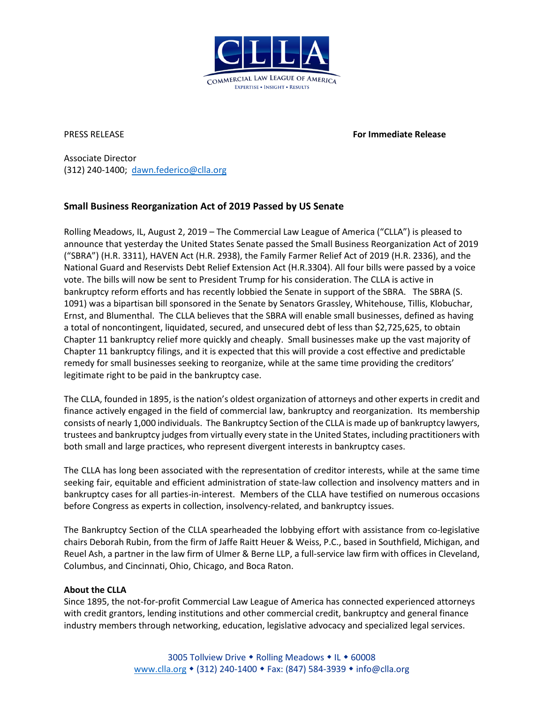

PRESS RELEASE **For Immediate Release**

Associate Director (312) 240-1400; [dawn.federico@clla.org](mailto:dawn.federico@clla.org)

## **Small Business Reorganization Act of 2019 Passed by US Senate**

Rolling Meadows, IL, August 2, 2019 – The Commercial Law League of America ("CLLA") is pleased to announce that yesterday the United States Senate passed the Small Business Reorganization Act of 2019 ("SBRA") (H.R. 3311), HAVEN Act (H.R. 2938), the Family Farmer Relief Act of 2019 (H.R. 2336), and the National Guard and Reservists Debt Relief Extension Act (H.R.3304). All four bills were passed by a voice vote. The bills will now be sent to President Trump for his consideration. The CLLA is active in bankruptcy reform efforts and has recently lobbied the Senate in support of the SBRA. The SBRA (S. 1091) was a bipartisan bill sponsored in the Senate by Senators Grassley, Whitehouse, Tillis, Klobuchar, Ernst, and Blumenthal. The CLLA believes that the SBRA will enable small businesses, defined as having a total of noncontingent, liquidated, secured, and unsecured debt of less than \$2,725,625, to obtain Chapter 11 bankruptcy relief more quickly and cheaply. Small businesses make up the vast majority of Chapter 11 bankruptcy filings, and it is expected that this will provide a cost effective and predictable remedy for small businesses seeking to reorganize, while at the same time providing the creditors' legitimate right to be paid in the bankruptcy case.

The CLLA, founded in 1895, is the nation's oldest organization of attorneys and other experts in credit and finance actively engaged in the field of commercial law, bankruptcy and reorganization. Its membership consists of nearly 1,000 individuals. The Bankruptcy Section of the CLLA is made up of bankruptcy lawyers, trustees and bankruptcy judges from virtually every state in the United States, including practitioners with both small and large practices, who represent divergent interests in bankruptcy cases.

The CLLA has long been associated with the representation of creditor interests, while at the same time seeking fair, equitable and efficient administration of state-law collection and insolvency matters and in bankruptcy cases for all parties-in-interest. Members of the CLLA have testified on numerous occasions before Congress as experts in collection, insolvency-related, and bankruptcy issues.

The Bankruptcy Section of the CLLA spearheaded the lobbying effort with assistance from co-legislative chairs Deborah Rubin, from the firm of Jaffe Raitt Heuer & Weiss, P.C., based in Southfield, Michigan, and Reuel Ash, a partner in the law firm of Ulmer & Berne LLP, a full-service law firm with offices in Cleveland, Columbus, and Cincinnati, Ohio, Chicago, and Boca Raton.

## **About the CLLA**

Since 1895, the not-for-profit Commercial Law League of America has connected experienced attorneys with credit grantors, lending institutions and other commercial credit, bankruptcy and general finance industry members through networking, education, legislative advocacy and specialized legal services.